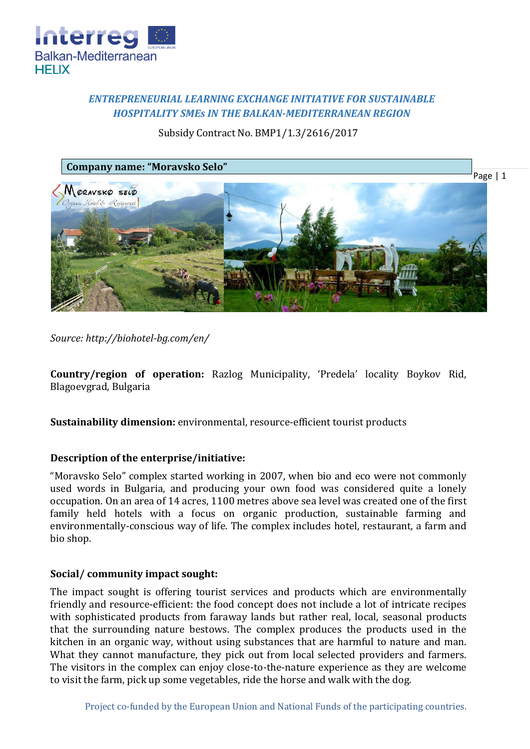

# *ENTREPRENEURIAL LEARNING EXCHANGE INITIATIVE FOR SUSTAINABLE HOSPITALITY SMEs IN THE BALKAN-MEDITERRANEAN REGION*

## Subsidy Contract No. BMP1/1.3/2616/2017



*Source: http://biohotel-bg.com/en/*

**Country/region of operation:** Razlog Municipality, 'Predela' locality Boykov Rid, Blagoevgrad, Bulgaria

**Sustainability dimension:** environmental, resource-efficient tourist products

## **Description of the enterprise/initiative:**

"Moravsko Selo" complex started working in 2007, when bio and eco were not commonly used words in Bulgaria, and producing your own food was considered quite a lonely occupation. On an area of 14 acres, 1100 metres above sea level was created one of the first family held hotels with a focus on organic production, sustainable farming and environmentally-conscious way of life. The complex includes hotel, restaurant, a farm and bio shop.

## **Social/ community impact sought:**

The impact sought is offering tourist services and products which are environmentally friendly and resource-efficient: the food concept does not include a lot of intricate recipes with sophisticated products from faraway lands but rather real, local, seasonal products that the surrounding nature bestows. The complex produces the products used in the kitchen in an organic way, without using substances that are harmful to nature and man. What they cannot manufacture, they pick out from local selected providers and farmers. The visitors in the complex can enjoy close-to-the-nature experience as they are welcome to visit the farm, pick up some vegetables, ride the horse and walk with the dog.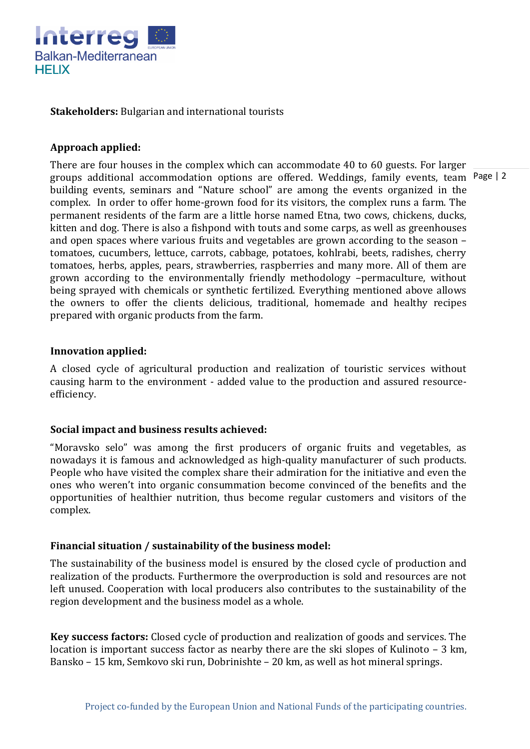

#### **Stakeholders:** Bulgarian and international tourists

### **Approach applied:**

groups additional accommodation options are offered. Weddings, family events, team Page | 2 There are four houses in the complex which can accommodate 40 to 60 guests. For larger building events, seminars and "Nature school" are among the events organized in the complex. In order to offer home-grown food for its visitors, the complex runs a farm. The permanent residents of the farm are a little horse named Etna, two cows, chickens, ducks, kitten and dog. There is also a fishpond with touts and some carps, as well as greenhouses and open spaces where various fruits and vegetables are grown according to the season – tomatoes, cucumbers, lettuce, carrots, cabbage, potatoes, kohlrabi, beets, radishes, cherry tomatoes, herbs, apples, pears, strawberries, raspberries and many more. All of them are grown according to the environmentally friendly methodology –permaculture, without being sprayed with chemicals or synthetic fertilized. Everything mentioned above allows the owners to offer the clients delicious, traditional, homemade and healthy recipes prepared with organic products from the farm.

#### **Innovation applied:**

A closed cycle of agricultural production and realization of touristic services without causing harm to the environment - added value to the production and assured resourceefficiency.

#### **Social impact and business results achieved:**

"Moravsko selo" was among the first producers of organic fruits and vegetables, as nowadays it is famous and acknowledged as high-quality manufacturer of such products. People who have visited the complex share their admiration for the initiative and even the ones who weren't into organic consummation become convinced of the benefits and the opportunities of healthier nutrition, thus become regular customers and visitors of the complex.

## **Financial situation / sustainability of the business model:**

The sustainability of the business model is ensured by the closed cycle of production and realization of the products. Furthermore the overproduction is sold and resources are not left unused. Cooperation with local producers also contributes to the sustainability of the region development and the business model as a whole.

**Key success factors:** Closed cycle of production and realization of goods and services. The location is important success factor as nearby there are the ski slopes of Kulinoto – 3 km, Bansko – 15 km, Semkovo ski run, Dobrinishte – 20 km, as well as hot mineral springs.